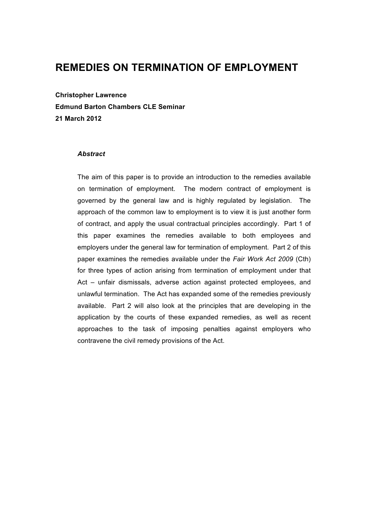## **REMEDIES ON TERMINATION OF EMPLOYMENT**

**Christopher Lawrence Edmund Barton Chambers CLE Seminar 21 March 2012**

#### *Abstract*

The aim of this paper is to provide an introduction to the remedies available on termination of employment. The modern contract of employment is governed by the general law and is highly regulated by legislation. The approach of the common law to employment is to view it is just another form of contract, and apply the usual contractual principles accordingly. Part 1 of this paper examines the remedies available to both employees and employers under the general law for termination of employment. Part 2 of this paper examines the remedies available under the *Fair Work Act 2009* (Cth) for three types of action arising from termination of employment under that Act – unfair dismissals, adverse action against protected employees, and unlawful termination. The Act has expanded some of the remedies previously available. Part 2 will also look at the principles that are developing in the application by the courts of these expanded remedies, as well as recent approaches to the task of imposing penalties against employers who contravene the civil remedy provisions of the Act.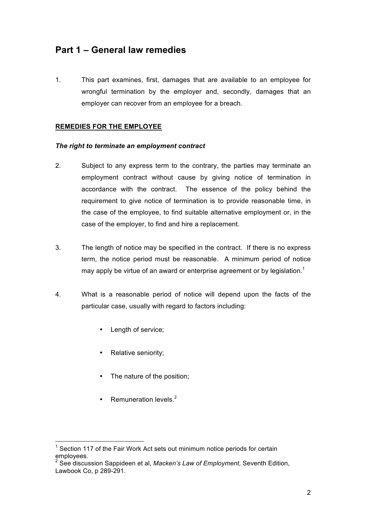## **Part 1 – General law remedies**

1. This part examines, first, damages that are available to an employee for wrongful termination by the employer and, secondly, damages that an employer can recover from an employee for a breach.

### **REMEDIES FOR THE EMPLOYEE**

#### *The right to terminate an employment contract*

- 2. Subject to any express term to the contrary, the parties may terminate an employment contract without cause by giving notice of termination in accordance with the contract. The essence of the policy behind the requirement to give notice of termination is to provide reasonable time, in the case of the employee, to find suitable alternative employment or, in the case of the employer, to find and hire a replacement.
- 3. The length of notice may be specified in the contract. If there is no express term, the notice period must be reasonable. A minimum period of notice may apply be virtue of an award or enterprise agreement or by legislation.<sup>1</sup>
- 4. What is a reasonable period of notice will depend upon the facts of the particular case, usually with regard to factors including:
	- Length of service;
	- Relative seniority;
	- The nature of the position;
	- Remuneration levels. $2$

<sup>————————————————————&</sup>lt;br><sup>1</sup> Section 117 of the Fair Work Act sets out minimum notice periods for certain employees.

<sup>2</sup> See discussion Sappideen et al, *Macken's Law of Employment*, Seventh Edition, Lawbook Co, p 289-291.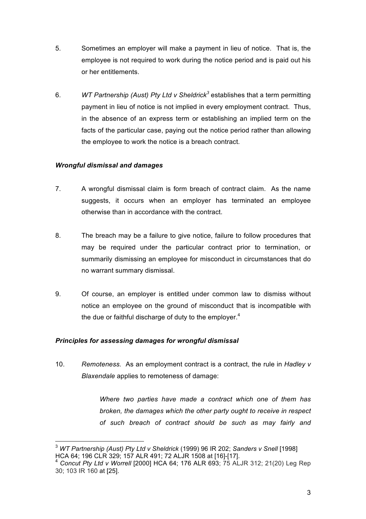- 5. Sometimes an employer will make a payment in lieu of notice. That is, the employee is not required to work during the notice period and is paid out his or her entitlements.
- 6. *WT Partnership (Aust) Pty Ltd v Sheldrick<sup>3</sup>* establishes that a term permitting payment in lieu of notice is not implied in every employment contract. Thus, in the absence of an express term or establishing an implied term on the facts of the particular case, paying out the notice period rather than allowing the employee to work the notice is a breach contract.

## *Wrongful dismissal and damages*

- 7. A wrongful dismissal claim is form breach of contract claim. As the name suggests, it occurs when an employer has terminated an employee otherwise than in accordance with the contract.
- 8. The breach may be a failure to give notice, failure to follow procedures that may be required under the particular contract prior to termination, or summarily dismissing an employee for misconduct in circumstances that do no warrant summary dismissal.
- 9. Of course, an employer is entitled under common law to dismiss without notice an employee on the ground of misconduct that is incompatible with the due or faithful discharge of duty to the employer. $4$

## *Principles for assessing damages for wrongful dismissal*

10. *Remoteness.* As an employment contract is a contract, the rule in *Hadley v Blaxendale* applies to remoteness of damage:

> *Where two parties have made a contract which one of them has broken, the damages which the other party ought to receive in respect of such breach of contract should be such as may fairly and*

<sup>3</sup> *WT Partnership (Aust) Pty Ltd v Sheldrick* (1999) 96 IR 202; *Sanders v Snell* [1998]

Concut Pty Ltd v Worrell [2000] HCA 64; 176 ALR 693; 75 ALJR 312; 21(20) Leg Rep 30; 103 IR 160 at [25].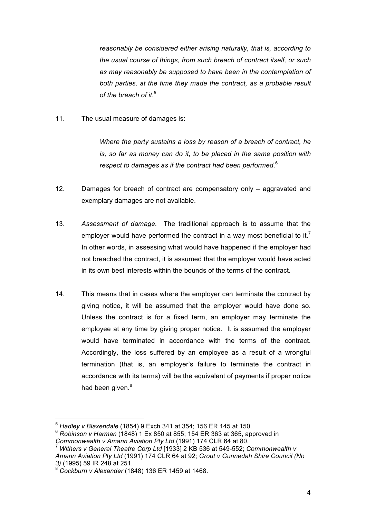*reasonably be considered either arising naturally, that is, according to the usual course of things, from such breach of contract itself, or such as may reasonably be supposed to have been in the contemplation of both parties, at the time they made the contract, as a probable result of the breach of it*. 5

11. The usual measure of damages is:

*Where the party sustains a loss by reason of a breach of contract, he is, so far as money can do it, to be placed in the same position with respect to damages as if the contract had been performed*. 6

- 12. Damages for breach of contract are compensatory only aggravated and exemplary damages are not available.
- 13. *Assessment of damage.* The traditional approach is to assume that the employer would have performed the contract in a way most beneficial to it.<sup>7</sup> In other words, in assessing what would have happened if the employer had not breached the contract, it is assumed that the employer would have acted in its own best interests within the bounds of the terms of the contract.
- 14. This means that in cases where the employer can terminate the contract by giving notice, it will be assumed that the employer would have done so. Unless the contract is for a fixed term, an employer may terminate the employee at any time by giving proper notice. It is assumed the employer would have terminated in accordance with the terms of the contract. Accordingly, the loss suffered by an employee as a result of a wrongful termination (that is, an employer's failure to terminate the contract in accordance with its terms) will be the equivalent of payments if proper notice had been given.<sup>8</sup>

<sup>6</sup> *Robinson v Harman* (1848) 1 Ex 850 at 855; 154 ER 363 at 365, approved in *Commonwealth v Amann Aviation Pty Ltd* (1991) 174 CLR 64 at 80.

<sup>5</sup> *Hadley v Blaxendale* (1854) 9 Exch 341 at 354; 156 ER 145 at 150.

<sup>7</sup> *Withers v General Theatre Corp Ltd* [1933] 2 KB 536 at 549-552; *Commonwealth v Amann Aviation Pty Ltd* (1991) 174 CLR 64 at 92; *Grout v Gunnedah Shire Council (No 3)* (1995) 59 IR 248 at 251.

<sup>8</sup> *Cockburn v Alexander* (1848) 136 ER 1459 at 1468.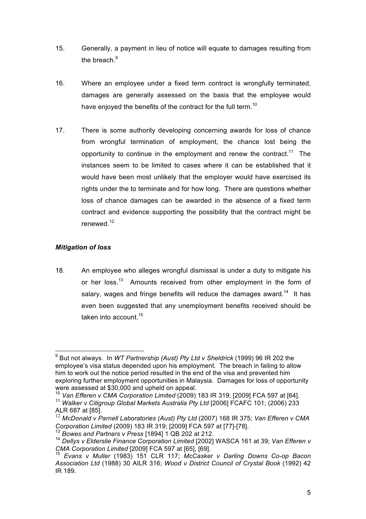- 15. Generally, a payment in lieu of notice will equate to damages resulting from the breach.<sup>9</sup>
- 16. Where an employee under a fixed term contract is wrongfully terminated, damages are generally assessed on the basis that the employee would have enjoved the benefits of the contract for the full term.<sup>10</sup>
- 17. There is some authority developing concerning awards for loss of chance from wrongful termination of employment, the chance lost being the opportunity to continue in the employment and renew the contract.<sup>11</sup> The instances seem to be limited to cases where it can be established that it would have been most unlikely that the employer would have exercised its rights under the to terminate and for how long. There are questions whether loss of chance damages can be awarded in the absence of a fixed term contract and evidence supporting the possibility that the contract might be renewed.<sup>12</sup>

## *Mitigation of loss*

18. An employee who alleges wrongful dismissal is under a duty to mitigate his or her loss.<sup>13</sup> Amounts received from other employment in the form of salary, wages and fringe benefits will reduce the damages award.<sup>14</sup> It has even been suggested that any unemployment benefits received should be taken into account.<sup>15</sup>

9 But not always. In *WT Partnership (Aust) Pty Ltd v Sheldrick* (1999) 96 IR 202 the employee's visa status depended upon his employment. The breach in failing to allow him to work out the notice period resulted in the end of the visa and prevented him exploring further employment opportunities in Malaysia. Damages for loss of opportunity were assessed at \$30,000 and upheld on appeal.

<sup>&</sup>lt;sup>10</sup> Van Efferen v CMA Corporation Limited (2009) 183 IR 319; [2009] FCA 597 at [64]. <sup>11</sup> *Walker v Citigroup Global Markets Australia Pty Ltd* [2006] FCAFC 101; (2006) 233

ALR 687 at [85].<br><sup>12</sup> McDonald v Parnell Laboratories (Aust) Pty Ltd (2007) 168 IR 375; Van Efferen v CMA

Corporation Limited (2009) 183 IR 319; [2009] FCA 597 at [77]-[78].<br><sup>13</sup> Bowes and Partners v Press [1894] 1 QB 202 at 212.<br><sup>14</sup> Dellys v Elderslie Finance Corporation Limited [2002] WASCA 161 at 39; Van Efferen v<br>CMA Cor

*Corporation Limiteda Corporation Limiteda Evans v Huller* (1983) 151 CLR 117; *McCasker v Darling Downs Co-op Bacon Association Ltd* (1988) 30 AILR 316; *Wood v District Council of Crystal Book* (1992) 42 IR 189.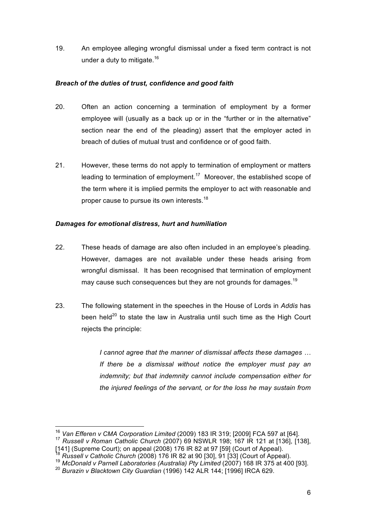19. An employee alleging wrongful dismissal under a fixed term contract is not under a duty to mitigate. $16$ 

## *Breach of the duties of trust, confidence and good faith*

- 20. Often an action concerning a termination of employment by a former employee will (usually as a back up or in the "further or in the alternative" section near the end of the pleading) assert that the employer acted in breach of duties of mutual trust and confidence or of good faith.
- 21. However, these terms do not apply to termination of employment or matters leading to termination of employment.<sup>17</sup> Moreover, the established scope of the term where it is implied permits the employer to act with reasonable and proper cause to pursue its own interests.<sup>18</sup>

## *Damages for emotional distress, hurt and humiliation*

- 22. These heads of damage are also often included in an employee's pleading. However, damages are not available under these heads arising from wrongful dismissal. It has been recognised that termination of employment may cause such consequences but they are not grounds for damages.<sup>19</sup>
- 23. The following statement in the speeches in the House of Lords in *Addis* has been held $^{20}$  to state the law in Australia until such time as the High Court rejects the principle:

*I cannot agree that the manner of dismissal affects these damages … If there be a dismissal without notice the employer must pay an indemnity; but that indemnity cannot include compensation either for the injured feelings of the servant, or for the loss he may sustain from* 

<sup>16</sup> *Van Efferen v CMA Corporation Limited* (2009) 183 IR 319; [2009] FCA 597 at [64]. <sup>17</sup> *Russell v Roman Catholic Church* (2007) 69 NSWLR 198; 167 IR 121 at [136], [138],

 $[141]$  (Supreme Court); on appeal (2008) 176 IR 82 at 97 [59] (Court of Appeal).<br><sup>18</sup> Russell v Catholic Church (2008) 176 IR 82 at 90 [30], 91 [33] (Court of Appeal).

<sup>19</sup> *McDonald v Parnell Laboratories (Australia) Pty Limited (2007)* 168 IR 375 at 400 [93].

<sup>20</sup> *Burazin v Blacktown City Guardian* (1996) 142 ALR 144; [1996] IRCA 629.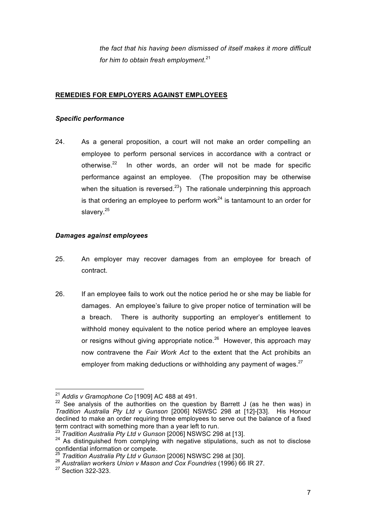*the fact that his having been dismissed of itself makes it more difficult for him to obtain fresh employment*. 21

## **REMEDIES FOR EMPLOYERS AGAINST EMPLOYEES**

#### *Specific performance*

24. As a general proposition, a court will not make an order compelling an employee to perform personal services in accordance with a contract or otherwise. $22$  In other words, an order will not be made for specific performance against an employee. (The proposition may be otherwise when the situation is reversed.<sup>23</sup>) The rationale underpinning this approach is that ordering an employee to perform work<sup>24</sup> is tantamount to an order for slavery.<sup>25</sup>

#### *Damages against employees*

- 25. An employer may recover damages from an employee for breach of contract.
- 26. If an employee fails to work out the notice period he or she may be liable for damages. An employee's failure to give proper notice of termination will be a breach. There is authority supporting an employer's entitlement to withhold money equivalent to the notice period where an employee leaves or resigns without giving appropriate notice. $26$  However, this approach may now contravene the *Fair Work Act* to the extent that the Act prohibits an employer from making deductions or withholding any payment of wages. $27$

<sup>&</sup>lt;sup>21</sup> *Addis v Gramophone Co* [1909] AC 488 at 491.<br><sup>22</sup> See analysis of the authorities on the question by Barrett J (as he then was) in *Tradition Australia Pty Ltd v Gunson* [2006] NSWSC 298 at [12]-[33]. His Honour declined to make an order requiring three employees to serve out the balance of a fixed term contract with something more than a year left to run.<br><sup>23</sup> *Tradition Australia Pty Ltd v Gunson* [2006] NSWSC 298 at [13].<br><sup>24</sup> As distinguished from complying with negative stipulations, such as not to disclose

confidential information or compete.

<sup>&</sup>lt;sup>25</sup> Tradition Australia Pty Ltd v Gunson [2006] NSWSC 298 at [30].<br><sup>26</sup> Australian workers Union v Mason and Cox Foundries (1996) 66 IR 27.

<sup>27</sup> Section 322-323.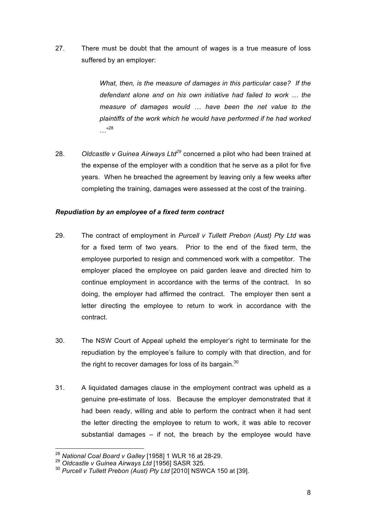27. There must be doubt that the amount of wages is a true measure of loss suffered by an employer:

> *What, then, is the measure of damages in this particular case? If the defendant alone and on his own initiative had failed to work … the measure of damages would … have been the net value to the plaintiffs of the work which he would have performed if he had worked*  …"<sup>28</sup>

28. *Oldcastle v Guinea Airways Ltd<sup>29</sup>* concerned a pilot who had been trained at the expense of the employer with a condition that he serve as a pilot for five years. When he breached the agreement by leaving only a few weeks after completing the training, damages were assessed at the cost of the training.

## *Repudiation by an employee of a fixed term contract*

- 29. The contract of employment in *Purcell v Tullett Prebon (Aust) Pty Ltd* was for a fixed term of two years. Prior to the end of the fixed term, the employee purported to resign and commenced work with a competitor. The employer placed the employee on paid garden leave and directed him to continue employment in accordance with the terms of the contract. In so doing, the employer had affirmed the contract. The employer then sent a letter directing the employee to return to work in accordance with the contract.
- 30. The NSW Court of Appeal upheld the employer's right to terminate for the repudiation by the employee's failure to comply with that direction, and for the right to recover damages for loss of its bargain. $30$
- 31. A liquidated damages clause in the employment contract was upheld as a genuine pre-estimate of loss. Because the employer demonstrated that it had been ready, willing and able to perform the contract when it had sent the letter directing the employee to return to work, it was able to recover substantial damages – if not, the breach by the employee would have

<sup>28</sup> *National Coal Board v Galley* [1958] 1 WLR 16 at 28-29.

<sup>29</sup> *Oldcastle v Guinea Airways Ltd* [1956] SASR 325.

<sup>30</sup> *Purcell v Tullett Prebon (Aust) Pty Ltd* [2010] NSWCA 150 at [39].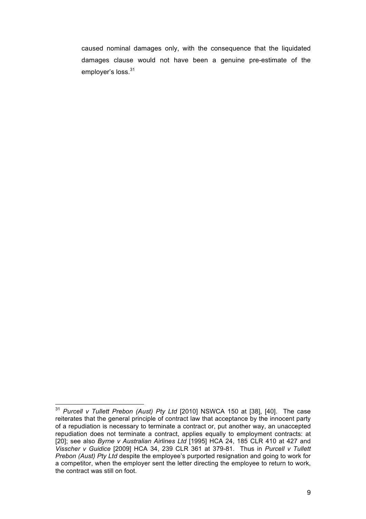caused nominal damages only, with the consequence that the liquidated damages clause would not have been a genuine pre-estimate of the employer's loss.<sup>31</sup>

<sup>31</sup> *Purcell v Tullett Prebon (Aust) Pty Ltd* [2010] NSWCA 150 at [38], [40]. The case reiterates that the general principle of contract law that acceptance by the innocent party of a repudiation is necessary to terminate a contract or, put another way, an unaccepted repudiation does not terminate a contract, applies equally to employment contracts: at [20]; see also *Byrne v Australian Airlines Ltd* [1995] HCA 24, 185 CLR 410 at 427 and *Visscher v Guidice* [2009] HCA 34, 239 CLR 361 at 379-81. Thus in *Purcell v Tullett Prebon (Aust) Pty Ltd* despite the employee's purported resignation and going to work for a competitor, when the employer sent the letter directing the employee to return to work, the contract was still on foot.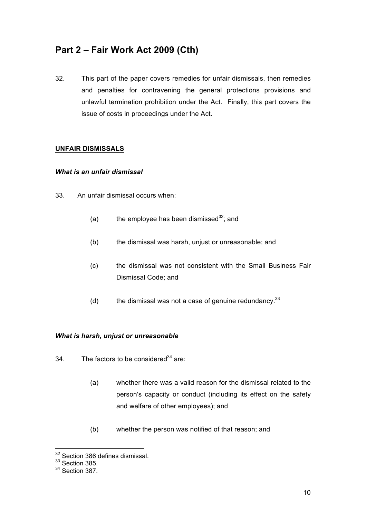# **Part 2 – Fair Work Act 2009 (Cth)**

32. This part of the paper covers remedies for unfair dismissals, then remedies and penalties for contravening the general protections provisions and unlawful termination prohibition under the Act. Finally, this part covers the issue of costs in proceedings under the Act.

## **UNFAIR DISMISSALS**

#### *What is an unfair dismissal*

- 33. An unfair dismissal occurs when:
	- (a) the employee has been dismissed $32$ ; and
	- (b) the dismissal was harsh, unjust or unreasonable; and
	- (c) the dismissal was not consistent with the Small Business Fair Dismissal Code; and
	- (d) the dismissal was not a case of genuine redundancy.  $33$

#### *What is harsh, unjust or unreasonable*

- $34.$  The factors to be considered<sup>34</sup> are:
	- (a) whether there was a valid reason for the dismissal related to the person's capacity or conduct (including its effect on the safety and welfare of other employees); and
	- (b) whether the person was notified of that reason; and

32 Section 386 defines dismissal.

 $33$  Section 385.

<sup>34</sup> Section 387.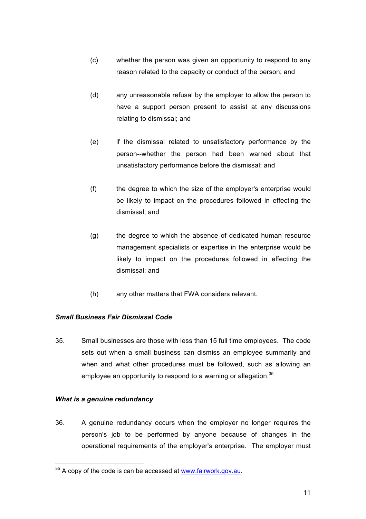- (c) whether the person was given an opportunity to respond to any reason related to the capacity or conduct of the person; and
- (d) any unreasonable refusal by the employer to allow the person to have a support person present to assist at any discussions relating to dismissal; and
- (e) if the dismissal related to unsatisfactory performance by the person--whether the person had been warned about that unsatisfactory performance before the dismissal; and
- (f) the degree to which the size of the employer's enterprise would be likely to impact on the procedures followed in effecting the dismissal; and
- (g) the degree to which the absence of dedicated human resource management specialists or expertise in the enterprise would be likely to impact on the procedures followed in effecting the dismissal; and
- (h) any other matters that FWA considers relevant.

## *Small Business Fair Dismissal Code*

35. Small businesses are those with less than 15 full time employees. The code sets out when a small business can dismiss an employee summarily and when and what other procedures must be followed, such as allowing an employee an opportunity to respond to a warning or allegation. $35$ 

## *What is a genuine redundancy*

36. A genuine redundancy occurs when the employer no longer requires the person's job to be performed by anyone because of changes in the operational requirements of the employer's enterprise. The employer must

<sup>&</sup>lt;sup>35</sup> A copy of the code is can be accessed at www.fairwork.gov.au.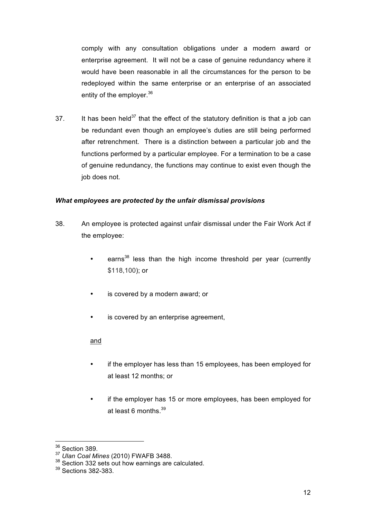comply with any consultation obligations under a modern award or enterprise agreement. It will not be a case of genuine redundancy where it would have been reasonable in all the circumstances for the person to be redeployed within the same enterprise or an enterprise of an associated entity of the emplover.<sup>36</sup>

37. It has been held<sup>37</sup> that the effect of the statutory definition is that a job can be redundant even though an employee's duties are still being performed after retrenchment. There is a distinction between a particular job and the functions performed by a particular employee. For a termination to be a case of genuine redundancy, the functions may continue to exist even though the job does not.

## *What employees are protected by the unfair dismissal provisions*

- 38. An employee is protected against unfair dismissal under the Fair Work Act if the employee:
	- earns<sup>38</sup> less than the high income threshold per year (currently \$118,100); or
	- is covered by a modern award; or
	- is covered by an enterprise agreement,

#### and

- if the employer has less than 15 employees, has been employed for at least 12 months; or
- if the employer has 15 or more employees, has been employed for at least 6 months  $39$

 $3^8$  Section 389.<br> $37$  Ulan Coal Mines (2010) FWAFB 3488.

<sup>&</sup>lt;sup>38</sup> Section 332 sets out how earnings are calculated.

<sup>39</sup> Sections 382-383.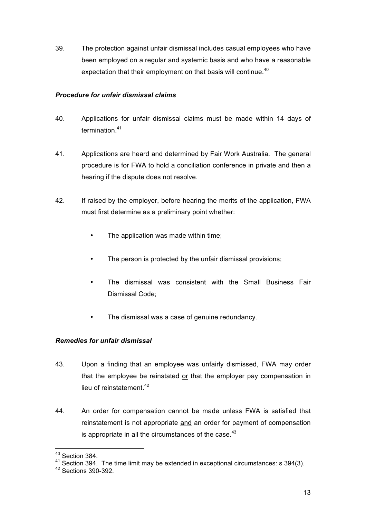39. The protection against unfair dismissal includes casual employees who have been employed on a regular and systemic basis and who have a reasonable expectation that their employment on that basis will continue.<sup>40</sup>

## *Procedure for unfair dismissal claims*

- 40. Applications for unfair dismissal claims must be made within 14 days of termination.<sup>41</sup>
- 41. Applications are heard and determined by Fair Work Australia. The general procedure is for FWA to hold a conciliation conference in private and then a hearing if the dispute does not resolve.
- 42. If raised by the employer, before hearing the merits of the application, FWA must first determine as a preliminary point whether:
	- The application was made within time;
	- The person is protected by the unfair dismissal provisions;
	- The dismissal was consistent with the Small Business Fair Dismissal Code;
	- The dismissal was a case of genuine redundancy.

## *Remedies for unfair dismissal*

- 43. Upon a finding that an employee was unfairly dismissed, FWA may order that the employee be reinstated or that the employer pay compensation in lieu of reinstatement.<sup>42</sup>
- 44. An order for compensation cannot be made unless FWA is satisfied that reinstatement is not appropriate and an order for payment of compensation is appropriate in all the circumstances of the case. $43$

40 Section 384.

<sup>41</sup> Section 394. The time limit may be extended in exceptional circumstances: s 394(3).

<sup>42</sup> Sections 390-392.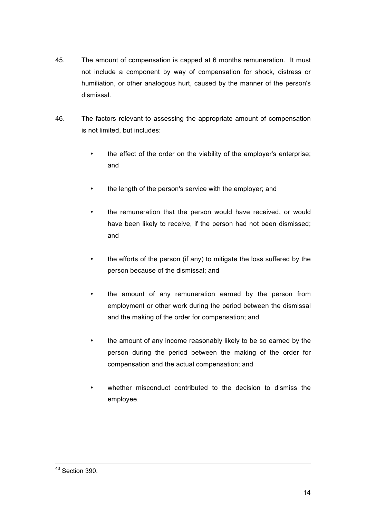- 45. The amount of compensation is capped at 6 months remuneration. It must not include a component by way of compensation for shock, distress or humiliation, or other analogous hurt, caused by the manner of the person's dismissal.
- 46. The factors relevant to assessing the appropriate amount of compensation is not limited, but includes:
	- the effect of the order on the viability of the employer's enterprise; and
	- the length of the person's service with the employer; and
	- the remuneration that the person would have received, or would have been likely to receive, if the person had not been dismissed; and
	- the efforts of the person (if any) to mitigate the loss suffered by the person because of the dismissal; and
	- the amount of any remuneration earned by the person from employment or other work during the period between the dismissal and the making of the order for compensation; and
	- the amount of any income reasonably likely to be so earned by the person during the period between the making of the order for compensation and the actual compensation; and
	- whether misconduct contributed to the decision to dismiss the employee.

43 Section 390.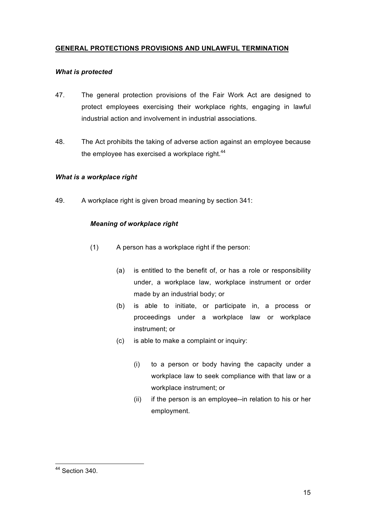## **GENERAL PROTECTIONS PROVISIONS AND UNLAWFUL TERMINATION**

### *What is protected*

- 47. The general protection provisions of the Fair Work Act are designed to protect employees exercising their workplace rights, engaging in lawful industrial action and involvement in industrial associations.
- 48. The Act prohibits the taking of adverse action against an employee because the employee has exercised a workplace right.<sup>44</sup>

## *What is a workplace right*

49. A workplace right is given broad meaning by section 341:

## *Meaning of workplace right*

- (1) A person has a workplace right if the person:
	- (a) is entitled to the benefit of, or has a role or responsibility under, a workplace law, workplace instrument or order made by an industrial body; or
	- (b) is able to initiate, or participate in, a process or proceedings under a workplace law or workplace instrument; or
	- (c) is able to make a complaint or inquiry:
		- (i) to a person or body having the capacity under a workplace law to seek compliance with that law or a workplace instrument; or
		- (ii) if the person is an employee--in relation to his or her employment.

44 Section 340.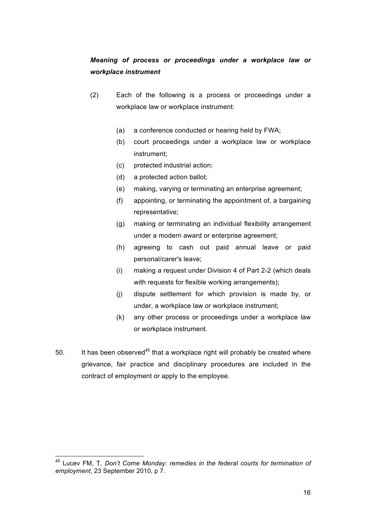## *Meaning of process or proceedings under a workplace law or workplace instrument*

- (2) Each of the following is a process or proceedings under a workplace law or workplace instrument:
	- (a) a conference conducted or hearing held by FWA;
	- (b) court proceedings under a workplace law or workplace instrument;
	- (c) protected industrial action;
	- (d) a protected action ballot;
	- (e) making, varying or terminating an enterprise agreement;
	- (f) appointing, or terminating the appointment of, a bargaining representative;
	- (g) making or terminating an individual flexibility arrangement under a modern award or enterprise agreement;
	- (h) agreeing to cash out paid annual leave or paid personal/carer's leave;
	- (i) making a request under Division 4 of Part 2-2 (which deals with requests for flexible working arrangements);
	- (j) dispute settlement for which provision is made by, or under, a workplace law or workplace instrument;
	- (k) any other process or proceedings under a workplace law or workplace instrument.
- 50. It has been observed<sup>45</sup> that a workplace right will probably be created where grievance, fair practice and disciplinary procedures are included in the contract of employment or apply to the employee.

45 Lucev FM, T, *Don't Come Monday: remedies in the federal courts for termination of employment*, 23 September 2010, p 7.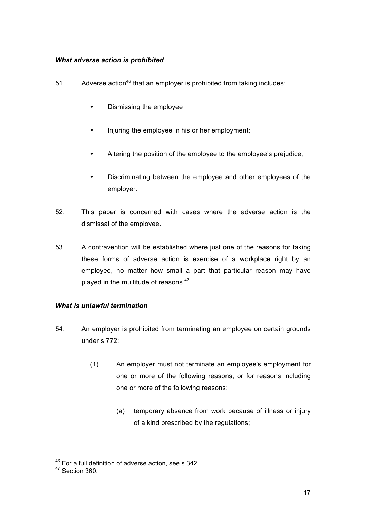## *What adverse action is prohibited*

- 51. Adverse action<sup>46</sup> that an employer is prohibited from taking includes:
	- Dismissing the employee
	- Injuring the employee in his or her employment;
	- Altering the position of the employee to the employee's prejudice;
	- Discriminating between the employee and other employees of the employer.
- 52. This paper is concerned with cases where the adverse action is the dismissal of the employee.
- 53. A contravention will be established where just one of the reasons for taking these forms of adverse action is exercise of a workplace right by an employee, no matter how small a part that particular reason may have played in the multitude of reasons.<sup>47</sup>

#### *What is unlawful termination*

- 54. An employer is prohibited from terminating an employee on certain grounds under s 772:
	- (1) An employer must not terminate an employee's employment for one or more of the following reasons, or for reasons including one or more of the following reasons:
		- (a) temporary absence from work because of illness or injury of a kind prescribed by the regulations;

<sup>&</sup>lt;sup>46</sup> For a full definition of adverse action, see s 342.

<sup>&</sup>lt;sup>47</sup> Section 360.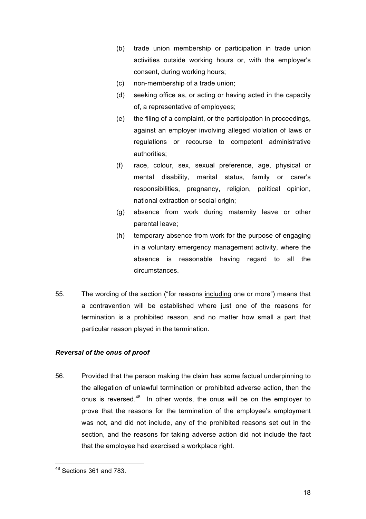- (b) trade union membership or participation in trade union activities outside working hours or, with the employer's consent, during working hours;
- (c) non-membership of a trade union;
- (d) seeking office as, or acting or having acted in the capacity of, a representative of employees;
- (e) the filing of a complaint, or the participation in proceedings, against an employer involving alleged violation of laws or regulations or recourse to competent administrative authorities;
- (f) race, colour, sex, sexual preference, age, physical or mental disability, marital status, family or carer's responsibilities, pregnancy, religion, political opinion, national extraction or social origin:
- (g) absence from work during maternity leave or other parental leave;
- (h) temporary absence from work for the purpose of engaging in a voluntary emergency management activity, where the absence is reasonable having regard to all the circumstances.
- 55. The wording of the section ("for reasons including one or more") means that a contravention will be established where just one of the reasons for termination is a prohibited reason, and no matter how small a part that particular reason played in the termination.

## *Reversal of the onus of proof*

56. Provided that the person making the claim has some factual underpinning to the allegation of unlawful termination or prohibited adverse action, then the onus is reversed.<sup>48</sup> In other words, the onus will be on the employer to prove that the reasons for the termination of the employee's employment was not, and did not include, any of the prohibited reasons set out in the section, and the reasons for taking adverse action did not include the fact that the employee had exercised a workplace right.

48 Sections 361 and 783.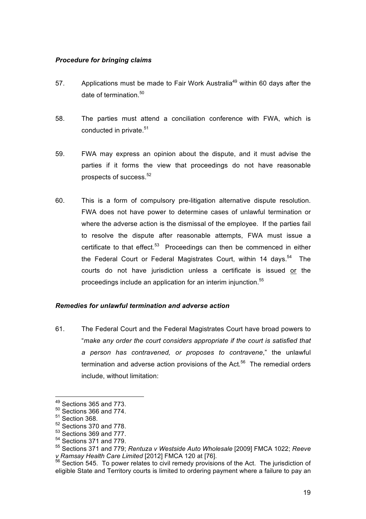#### *Procedure for bringing claims*

- 57. Applications must be made to Fair Work Australia<sup>49</sup> within 60 days after the date of termination.<sup>50</sup>
- 58. The parties must attend a conciliation conference with FWA, which is conducted in private.<sup>51</sup>
- 59. FWA may express an opinion about the dispute, and it must advise the parties if it forms the view that proceedings do not have reasonable prospects of success. $52$
- 60. This is a form of compulsory pre-litigation alternative dispute resolution. FWA does not have power to determine cases of unlawful termination or where the adverse action is the dismissal of the employee. If the parties fail to resolve the dispute after reasonable attempts, FWA must issue a certificate to that effect.<sup>53</sup> Proceedings can then be commenced in either the Federal Court or Federal Magistrates Court, within 14 days.<sup>54</sup> The courts do not have jurisdiction unless a certificate is issued or the proceedings include an application for an interim injunction.<sup>55</sup>

#### *Remedies for unlawful termination and adverse action*

61. The Federal Court and the Federal Magistrates Court have broad powers to "*make any order the court considers appropriate if the court is satisfied that a person has contravened, or proposes to contravene*," the unlawful termination and adverse action provisions of the Act.<sup>56</sup> The remedial orders include, without limitation:

49 Sections 365 and 773.

<sup>50</sup> Sections 366 and 774.

 $51$  Section 368.

 $52$  Sections 370 and 778.<br> $53$  Sections 369 and 777.

 $54$  Sections 371 and 779.

<sup>55</sup> Sections 371 and 779; *Rentuza v Westside Auto Wholesale* [2009] FMCA 1022; *Reeve* 

<sup>&</sup>lt;sup>56</sup> Section 545. To power relates to civil remedy provisions of the Act. The jurisdiction of eligible State and Territory courts is limited to ordering payment where a failure to pay an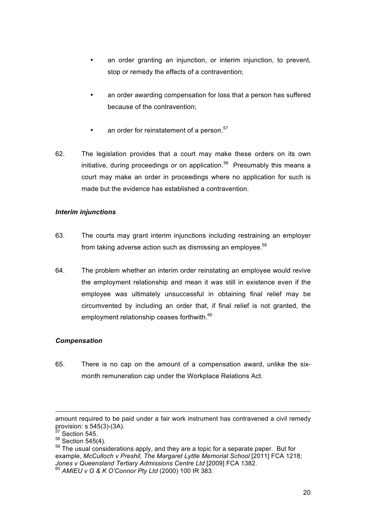- an order granting an injunction, or interim injunction, to prevent, stop or remedy the effects of a contravention;
- an order awarding compensation for loss that a person has suffered because of the contravention;
- an order for reinstatement of a person.<sup>57</sup>
- 62. The legislation provides that a court may make these orders on its own initiative, during proceedings *or* on application.<sup>58</sup> Presumably this means a court may make an order in proceedings where no application for such is made but the evidence has established a contravention.

## *Interim injunctions*

- 63. The courts may grant interim injunctions including restraining an employer from taking adverse action such as dismissing an employee. $59$
- 64. The problem whether an interim order reinstating an employee would revive the employment relationship and mean it was still in existence even if the employee was ultimately unsuccessful in obtaining final relief may be circumvented by including an order that, if final relief is not granted, the employment relationship ceases forthwith.<sup>60</sup>

## *Compensation*

65. There is no cap on the amount of a compensation award, unlike the sixmonth remuneration cap under the Workplace Relations Act.

 $\overline{a}$ 

amount required to be paid under a fair work instrument has contravened a civil remedy provision: s  $545(3)-(3A)$ .<br> $57$  Section 545.

 $58$  Section 545(4).

 $59$  The usual considerations apply, and they are a topic for a separate paper. But for example, *McCulloch v Preshil, The Margaret Lyttle Memorial School* [2011] FCA 1218; *Jones v Queensland Tertiary Admissions Centre Ltd* [2009] FCA 1382. <sup>60</sup> *AMIEU v G & K O'Connor Pty Ltd* (2000) 100 IR 383.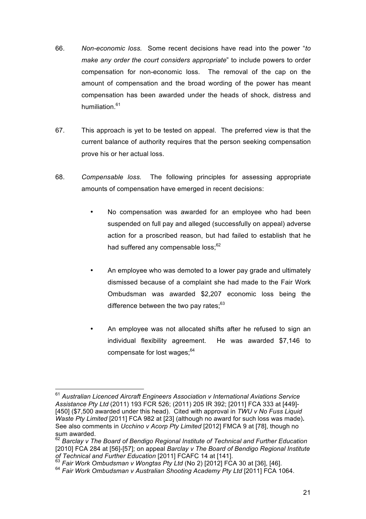- 66. *Non-economic loss.* Some recent decisions have read into the power "*to make any order the court considers appropriate*" to include powers to order compensation for non-economic loss. The removal of the cap on the amount of compensation and the broad wording of the power has meant compensation has been awarded under the heads of shock, distress and humiliation $61$
- 67. This approach is yet to be tested on appeal. The preferred view is that the current balance of authority requires that the person seeking compensation prove his or her actual loss.
- 68. *Compensable loss.* The following principles for assessing appropriate amounts of compensation have emerged in recent decisions:
	- No compensation was awarded for an employee who had been suspended on full pay and alleged (successfully on appeal) adverse action for a proscribed reason, but had failed to establish that he had suffered any compensable loss:<sup>62</sup>
	- An employee who was demoted to a lower pay grade and ultimately dismissed because of a complaint she had made to the Fair Work Ombudsman was awarded \$2,207 economic loss being the difference between the two pay rates:<sup>63</sup>
	- An employee was not allocated shifts after he refused to sign an individual flexibility agreement. He was awarded \$7,146 to compensate for lost wages;<sup>64</sup>

<sup>61</sup> *Australian Licenced Aircraft Engineers Association v International Aviations Service Assistance Pty Ltd* (2011) 193 FCR 526; (2011) 205 IR 392; [2011] FCA 333 at [449]- [450] (\$7,500 awarded under this head). Cited with approval in *TWU v No Fuss Liquid Waste Pty Limited* [2011] FCA 982 at [23] (although no award for such loss was made)**.**  See also comments in *Ucchino v Acorp Pty Limited* [2012] FMCA 9 at [78], though no sum awarded.

<sup>62</sup> *Barclay v The Board of Bendigo Regional Institute of Technical and Further Education* [2010] FCA 284 at [56]-[57]; on appeal *Barclay v The Board of Bendigo Regional Institute* 

<sup>&</sup>lt;sup>63</sup> Fair Work Ombudsman v Wongtas Pty Ltd (No 2) [2012] FCA 30 at [36], [46].

<sup>64</sup> *Fair Work Ombudsman v Australian Shooting Academy Pty Ltd* [2011] FCA 1064.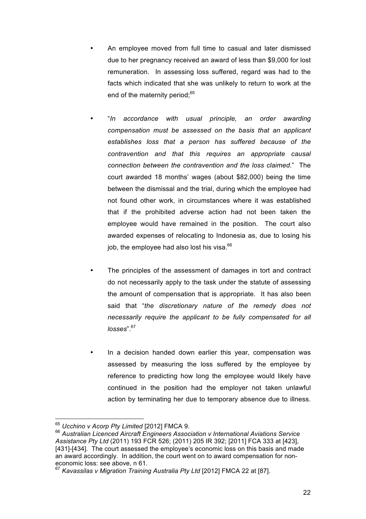- An employee moved from full time to casual and later dismissed due to her pregnancy received an award of less than \$9,000 for lost remuneration. In assessing loss suffered, regard was had to the facts which indicated that she was unlikely to return to work at the end of the maternity period;<sup>65</sup>
- "*In accordance with usual principle, an order awarding compensation must be assessed on the basis that an applicant establishes loss that a person has suffered because of the contravention and that this requires an appropriate causal connection between the contravention and the loss claimed*." The court awarded 18 months' wages (about \$82,000) being the time between the dismissal and the trial, during which the employee had not found other work, in circumstances where it was established that if the prohibited adverse action had not been taken the employee would have remained in the position. The court also awarded expenses of relocating to Indonesia as, due to losing his job, the employee had also lost his visa.<sup>66</sup>
- The principles of the assessment of damages in tort and contract do not necessarily apply to the task under the statute of assessing the amount of compensation that is appropriate. It has also been said that "*the discretionary nature of the remedy does not necessarily require the applicant to be fully compensated for all losses*".67
- In a decision handed down earlier this year, compensation was assessed by measuring the loss suffered by the employee by reference to predicting how long the employee would likely have continued in the position had the employer not taken unlawful action by terminating her due to temporary absence due to illness.

<sup>&</sup>lt;sup>65</sup> Ucchino v Acorp Pty Limited [2012] FMCA 9.<br><sup>66</sup> Australian Licenced Aircraft Engineers Association v International Aviations Service *Assistance Pty Ltd* (2011) 193 FCR 526; (2011) 205 IR 392; [2011] FCA 333 at [423], [431]-[434]. The court assessed the employee's economic loss on this basis and made an award accordingly. In addition, the court went on to award compensation for noneconomic loss: see above, n 61.

<sup>67</sup> *Kavassilas v Migration Training Australia Pty Ltd* [2012] FMCA 22 at [87].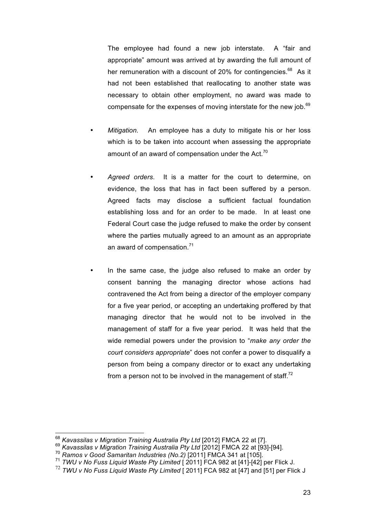The employee had found a new job interstate. A "fair and appropriate" amount was arrived at by awarding the full amount of her remuneration with a discount of 20% for contingencies. $68$  As it had not been established that reallocating to another state was necessary to obtain other employment, no award was made to compensate for the expenses of moving interstate for the new job.<sup>69</sup>

- *Mitigation.* An employee has a duty to mitigate his or her loss which is to be taken into account when assessing the appropriate amount of an award of compensation under the Act. $70$
- *Agreed orders*. It is a matter for the court to determine, on evidence, the loss that has in fact been suffered by a person. Agreed facts may disclose a sufficient factual foundation establishing loss and for an order to be made. In at least one Federal Court case the judge refused to make the order by consent where the parties mutually agreed to an amount as an appropriate an award of compensation. $71$
- In the same case, the judge also refused to make an order by consent banning the managing director whose actions had contravened the Act from being a director of the employer company for a five year period, or accepting an undertaking proffered by that managing director that he would not to be involved in the management of staff for a five year period. It was held that the wide remedial powers under the provision to "*make any order the court considers appropriate*" does not confer a power to disqualify a person from being a company director or to exact any undertaking from a person not to be involved in the management of staff. $^{72}$

<sup>&</sup>lt;sup>68</sup> *Kavassilas v Migration Training Australia Pty Ltd* [2012] FMCA 22 at [7].<br><sup>69</sup> *Kavassilas v Migration Training Australia Pty Ltd* [2012] FMCA 22 at [93]-[94].<br><sup>70</sup> *Ramos v Good Samaritan Industries (No.2)* [2011] F

<sup>&</sup>lt;sup>71</sup> TWU v No Fuss Liquid Waste Pty Limited [ 2011] FCA 982 at [41]-[42] per Flick J.

<sup>72</sup> *TWU v No Fuss Liquid Waste Pty Limited* [ 2011] FCA 982 at [47] and [51] per Flick J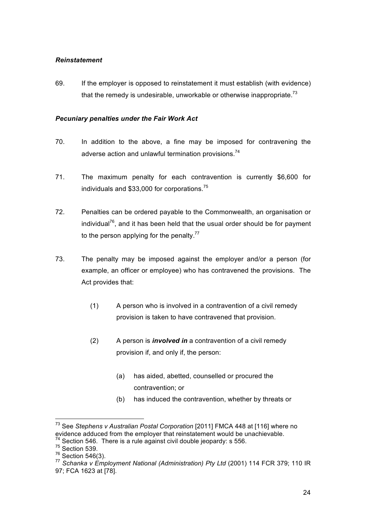#### *Reinstatement*

69. If the employer is opposed to reinstatement it must establish (with evidence) that the remedy is undesirable, unworkable or otherwise inappropriate.<sup>73</sup>

## *Pecuniary penalties under the Fair Work Act*

- 70. In addition to the above, a fine may be imposed for contravening the adverse action and unlawful termination provisions.<sup>74</sup>
- 71. The maximum penalty for each contravention is currently \$6,600 for individuals and \$33,000 for corporations.75
- 72. Penalties can be ordered payable to the Commonwealth, an organisation or individual<sup>76</sup>, and it has been held that the usual order should be for payment to the person applying for the penalty.<sup>77</sup>
- 73. The penalty may be imposed against the employer and/or a person (for example, an officer or employee) who has contravened the provisions. The Act provides that:
	- (1) A person who is involved in a contravention of a civil remedy provision is taken to have contravened that provision.
	- (2) A person is *involved in* a contravention of a civil remedy provision if, and only if, the person:
		- (a) has aided, abetted, counselled or procured the contravention; or
		- (b) has induced the contravention, whether by threats or

73 See *Stephens v Australian Postal Corporation* [2011] FMCA 448 at [116] where no evidence adduced from the employer that reinstatement would be unachievable.  $74$  Section 546. There is a rule against civil double jeopardy: s 556.

 $^{75}$  Section 539.<br> $^{76}$  Section 546(3).

<sup>&</sup>lt;sup>77</sup> Schanka v Employment National (Administration) Pty Ltd (2001) 114 FCR 379; 110 IR 97; FCA 1623 at [78].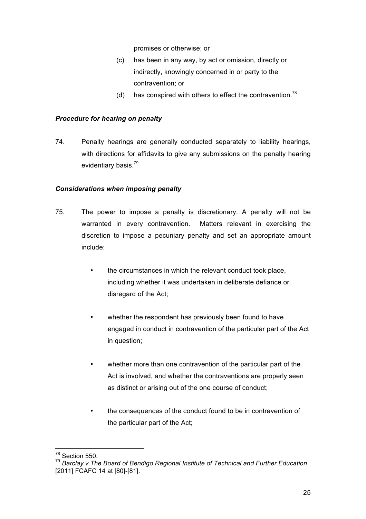promises or otherwise; or

- (c) has been in any way, by act or omission, directly or indirectly, knowingly concerned in or party to the contravention; or
- (d) has conspired with others to effect the contravention.<sup>78</sup>

#### *Procedure for hearing on penalty*

74. Penalty hearings are generally conducted separately to liability hearings, with directions for affidavits to give any submissions on the penalty hearing evidentiary basis.<sup>79</sup>

#### *Considerations when imposing penalty*

- 75. The power to impose a penalty is discretionary. A penalty will not be warranted in every contravention. Matters relevant in exercising the discretion to impose a pecuniary penalty and set an appropriate amount include:
	- the circumstances in which the relevant conduct took place, including whether it was undertaken in deliberate defiance or disregard of the Act;
	- whether the respondent has previously been found to have engaged in conduct in contravention of the particular part of the Act in question;
	- whether more than one contravention of the particular part of the Act is involved, and whether the contraventions are properly seen as distinct or arising out of the one course of conduct;
	- the consequences of the conduct found to be in contravention of the particular part of the Act;

78 Section 550.

<sup>79</sup> *Barclay v The Board of Bendigo Regional Institute of Technical and Further Education* [2011] FCAFC 14 at [80]-[81].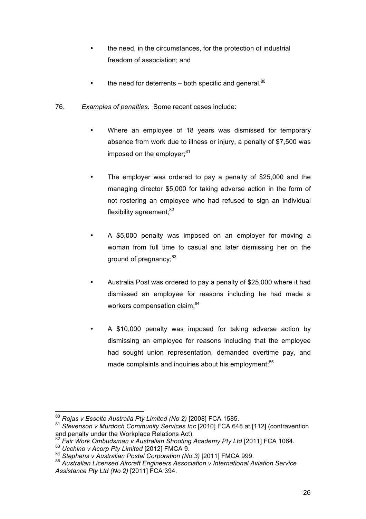- the need, in the circumstances, for the protection of industrial freedom of association; and
- the need for deterrents both specific and general. $80$
- 76. *Examples of penalties.* Some recent cases include:
	- Where an employee of 18 years was dismissed for temporary absence from work due to illness or injury, a penalty of \$7,500 was imposed on the employer:<sup>81</sup>
	- The employer was ordered to pay a penalty of \$25,000 and the managing director \$5,000 for taking adverse action in the form of not rostering an employee who had refused to sign an individual flexibility agreement; $82$
	- A \$5,000 penalty was imposed on an employer for moving a woman from full time to casual and later dismissing her on the ground of pregnancy;<sup>83</sup>
	- Australia Post was ordered to pay a penalty of \$25,000 where it had dismissed an employee for reasons including he had made a workers compensation claim:<sup>84</sup>
	- A \$10,000 penalty was imposed for taking adverse action by dismissing an employee for reasons including that the employee had sought union representation, demanded overtime pay, and made complaints and inquiries about his employment;<sup>85</sup>

<sup>80</sup> *Rojas v Esselte Australia Pty Limited (No 2)* [2008] FCA 1585.

<sup>81</sup> *Stevenson v Murdoch Community Services Inc* [2010] FCA 648 at [112] (contravention and penalty under the Workplace Relations Act).

<sup>&</sup>lt;sup>82</sup> Fair Work Ombudsman v Australian Shooting Academy Pty Ltd [2011] FCA 1064.<br><sup>83</sup> Ucchino v Acorp Pty Limited [2012] FMCA 9.

<sup>84</sup> *Stephens v Australian Postal Corporation (No.3)* [2011] FMCA 999.<br><sup>85</sup> *Australian Licensed Aircraft Engineers Association v International Aviation Service* <sup>85</sup> *Assistance Pty Ltd (No 2)* [2011] FCA 394.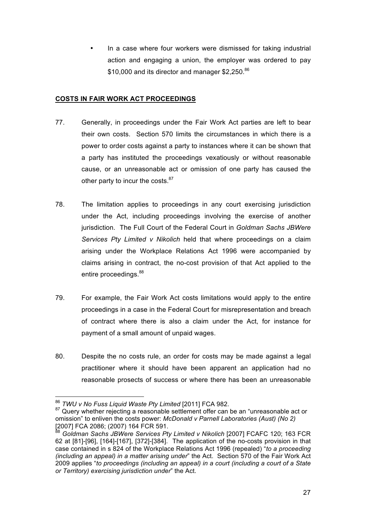• In a case where four workers were dismissed for taking industrial action and engaging a union, the employer was ordered to pay \$10,000 and its director and manager \$2,250.86

## **COSTS IN FAIR WORK ACT PROCEEDINGS**

- 77. Generally, in proceedings under the Fair Work Act parties are left to bear their own costs. Section 570 limits the circumstances in which there is a power to order costs against a party to instances where it can be shown that a party has instituted the proceedings vexatiously or without reasonable cause, or an unreasonable act or omission of one party has caused the other party to incur the costs. $87$
- 78. The limitation applies to proceedings in any court exercising jurisdiction under the Act, including proceedings involving the exercise of another jurisdiction. The Full Court of the Federal Court in *Goldman Sachs JBWere Services Pty Limited v Nikolich* held that where proceedings on a claim arising under the Workplace Relations Act 1996 were accompanied by claims arising in contract, the no-cost provision of that Act applied to the entire proceedings.<sup>88</sup>
- 79. For example, the Fair Work Act costs limitations would apply to the entire proceedings in a case in the Federal Court for misrepresentation and breach of contract where there is also a claim under the Act, for instance for payment of a small amount of unpaid wages.
- 80. Despite the no costs rule, an order for costs may be made against a legal practitioner where it should have been apparent an application had no reasonable prosects of success or where there has been an unreasonable

<sup>&</sup>lt;sup>86</sup> *TWU v No Fuss Liquid Waste Pty Limited* [2011] FCA 982.<br><sup>87</sup> Query whether rejecting a reasonable settlement offer can be an "unreasonable act or omission" to enliven the costs power: *McDonald v Parnell Laboratories (Aust) (No 2)* [2007] FCA 2086; (2007) 164 FCR 591.

<sup>&</sup>lt;sup>88</sup> Goldman Sachs JBWere Services Pty Limited v Nikolich [2007] FCAFC 120; 163 FCR 62 at [81]-[96], [164]-[167], [372]-[384]. The application of the no-costs provision in that case contained in s 824 of the Workplace Relations Act 1996 (repealed) "*to a proceeding (including an appeal) in a matter arising under*" the Act. Section 570 of the Fair Work Act 2009 applies "*to proceedings (including an appeal) in a court (including a court of a State or Territory) exercising jurisdiction under*" the Act.